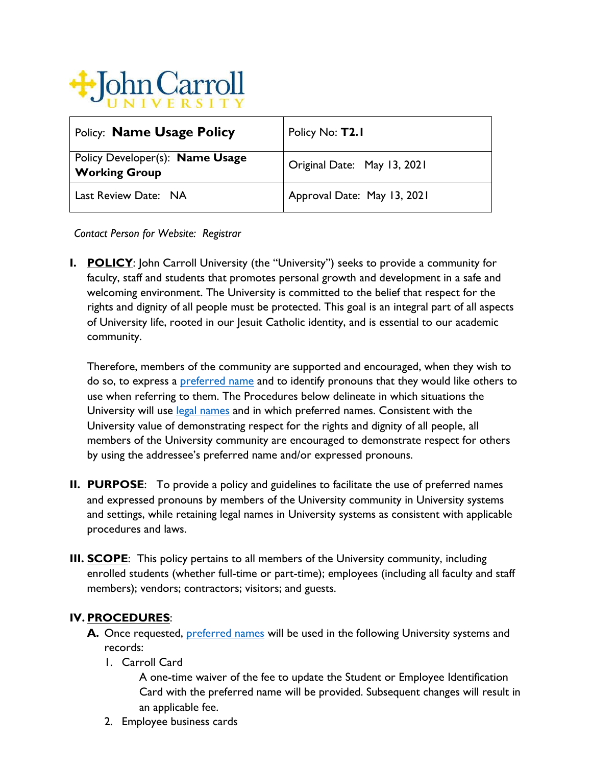

| <b>Policy: Name Usage Policy</b>                        | Policy No: T2.1             |
|---------------------------------------------------------|-----------------------------|
| Policy Developer(s): Name Usage<br><b>Working Group</b> | Original Date: May 13, 2021 |
| Last Review Date: NA                                    | Approval Date: May 13, 2021 |

*Contact Person for Website: Registrar*

**I. POLICY**: John Carroll University (the "University") seeks to provide a community for faculty, staff and students that promotes personal growth and development in a safe and welcoming environment. The University is committed to the belief that respect for the rights and dignity of all people must be protected. This goal is an integral part of all aspects of University life, rooted in our Jesuit Catholic identity, and is essential to our academic community.

Therefore, members of the community are supported and encouraged, when they wish to do so, to express a [preferred name](#page-2-0) and to identify pronouns that they would like others to use when referring to them. The Procedures below delineate in which situations the University will use [legal names](#page-2-1) and in which preferred names. Consistent with the University value of demonstrating respect for the rights and dignity of all people, all members of the University community are encouraged to demonstrate respect for others by using the addressee's preferred name and/or expressed pronouns.

- **II. PURPOSE**: To provide a policy and guidelines to facilitate the use of preferred names and expressed pronouns by members of the University community in University systems and settings, while retaining legal names in University systems as consistent with applicable procedures and laws.
- **III. SCOPE**: This policy pertains to all members of the University community, including enrolled students (whether full-time or part-time); employees (including all faculty and staff members); vendors; contractors; visitors; and guests.

## **IV. PROCEDURES**:

- A. Once requested, **preferred names** will be used in the following University systems and records:
	- 1. Carroll Card

A one-time waiver of the fee to update the Student or Employee Identification Card with the preferred name will be provided. Subsequent changes will result in an applicable fee.

2. Employee business cards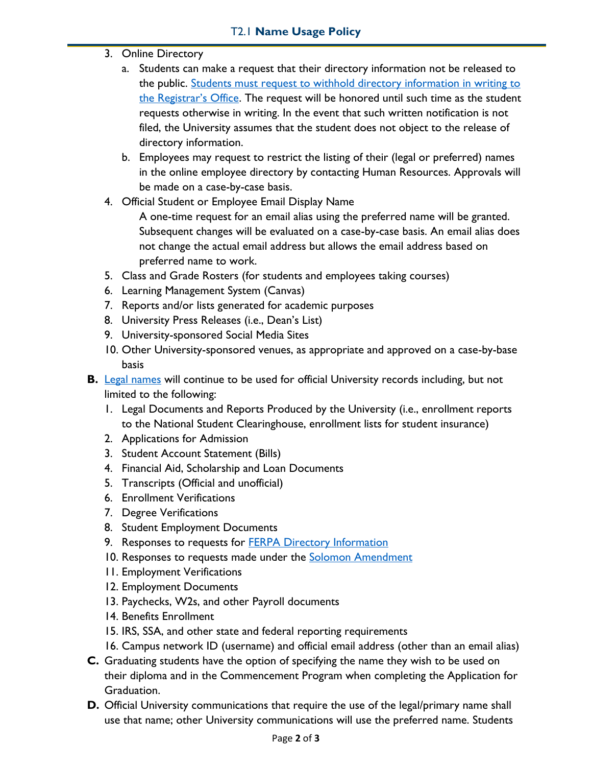- 3. Online Directory
	- a. Students can make a request that their directory information not be released to the public. [Students must request to withhold directory information](https://jcu.edu/registrar/students/ferpa) in writing to the [Registrar's Office](https://jcu.edu/registrar/students/ferpa). The request will be honored until such time as the student requests otherwise in writing. In the event that such written notification is not filed, the University assumes that the student does not object to the release of directory information.
	- b. Employees may request to restrict the listing of their (legal or preferred) names in the online employee directory by contacting Human Resources. Approvals will be made on a case-by-case basis.
- 4. Official Student or Employee Email Display Name
	- A one-time request for an email alias using the preferred name will be granted. Subsequent changes will be evaluated on a case-by-case basis. An email alias does not change the actual email address but allows the email address based on preferred name to work.
- 5. Class and Grade Rosters (for students and employees taking courses)
- 6. Learning Management System (Canvas)
- 7. Reports and/or lists generated for academic purposes
- 8. University Press Releases (i.e., Dean's List)
- 9. University-sponsored Social Media Sites
- 10. Other University-sponsored venues, as appropriate and approved on a case-by-base basis
- **B.** [Legal names](#page-2-1) will continue to be used for official University records including, but not limited to the following:
	- 1. Legal Documents and Reports Produced by the University (i.e., enrollment reports to the National Student Clearinghouse, enrollment lists for student insurance)
	- 2. Applications for Admission
	- 3. Student Account Statement (Bills)
	- 4. Financial Aid, Scholarship and Loan Documents
	- 5. Transcripts (Official and unofficial)
	- 6. Enrollment Verifications
	- 7. Degree Verifications
	- 8. Student Employment Documents
	- 9. Responses to requests for **FERPA Directory Information**
	- 10. Responses to requests made under the [Solomon Amendment](https://www.law.cornell.edu/uscode/text/10/983)
	- 11. Employment Verifications
	- 12. Employment Documents
	- 13. Paychecks, W2s, and other Payroll documents
	- 14. Benefits Enrollment
	- 15. IRS, SSA, and other state and federal reporting requirements
	- 16. Campus network ID (username) and official email address (other than an email alias)
- **C.** Graduating students have the option of specifying the name they wish to be used on their diploma and in the Commencement Program when completing the Application for Graduation.
- **D.** Official University communications that require the use of the legal/primary name shall use that name; other University communications will use the preferred name. Students